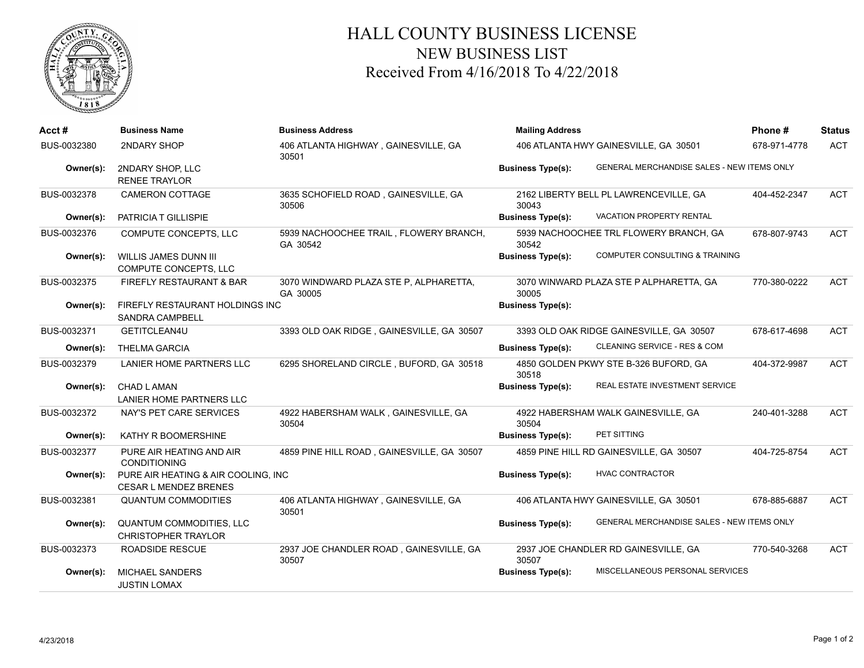

## HALL COUNTY BUSINESS LICENSE NEW BUSINESS LIST Received From 4/16/2018 To 4/22/2018

| Acct#       | <b>Business Name</b>                                                | <b>Business Address</b>                            | <b>Mailing Address</b>                |                                            | Phone#       | <b>Status</b> |
|-------------|---------------------------------------------------------------------|----------------------------------------------------|---------------------------------------|--------------------------------------------|--------------|---------------|
| BUS-0032380 | 2NDARY SHOP                                                         | 406 ATLANTA HIGHWAY, GAINESVILLE, GA<br>30501      | 406 ATLANTA HWY GAINESVILLE, GA 30501 | 678-971-4778                               | <b>ACT</b>   |               |
| Owner(s):   | 2NDARY SHOP, LLC<br><b>RENEE TRAYLOR</b>                            |                                                    | <b>Business Type(s):</b>              | GENERAL MERCHANDISE SALES - NEW ITEMS ONLY |              |               |
| BUS-0032378 | CAMERON COTTAGE                                                     | 3635 SCHOFIELD ROAD, GAINESVILLE, GA<br>30506      | 30043                                 | 2162 LIBERTY BELL PL LAWRENCEVILLE, GA     | 404-452-2347 | <b>ACT</b>    |
| Owner(s):   | PATRICIA T GILLISPIE                                                |                                                    | <b>Business Type(s):</b>              | VACATION PROPERTY RENTAL                   |              |               |
| BUS-0032376 | COMPUTE CONCEPTS, LLC                                               | 5939 NACHOOCHEE TRAIL, FLOWERY BRANCH,<br>GA 30542 | 30542                                 | 5939 NACHOOCHEE TRL FLOWERY BRANCH, GA     | 678-807-9743 | <b>ACT</b>    |
| Owner(s):   | <b>WILLIS JAMES DUNN III</b><br>COMPUTE CONCEPTS, LLC               |                                                    | <b>Business Type(s):</b>              | COMPUTER CONSULTING & TRAINING             |              |               |
| BUS-0032375 | FIREFLY RESTAURANT & BAR                                            | 3070 WINDWARD PLAZA STE P, ALPHARETTA,<br>GA 30005 | 30005                                 | 3070 WINWARD PLAZA STE P ALPHARETTA, GA    | 770-380-0222 | <b>ACT</b>    |
| Owner(s):   | FIREFLY RESTAURANT HOLDINGS INC<br><b>SANDRA CAMPBELL</b>           |                                                    | <b>Business Type(s):</b>              |                                            |              |               |
| BUS-0032371 | GETITCLEAN4U                                                        | 3393 OLD OAK RIDGE, GAINESVILLE, GA 30507          |                                       | 3393 OLD OAK RIDGE GAINESVILLE, GA 30507   | 678-617-4698 | <b>ACT</b>    |
| Owner(s):   | <b>THELMA GARCIA</b>                                                |                                                    | <b>Business Type(s):</b>              | CLEANING SERVICE - RES & COM               |              |               |
| BUS-0032379 | LANIER HOME PARTNERS LLC                                            | 6295 SHORELAND CIRCLE, BUFORD, GA 30518            | 30518                                 | 4850 GOLDEN PKWY STE B-326 BUFORD, GA      | 404-372-9987 | <b>ACT</b>    |
| Owner(s):   | <b>CHAD LAMAN</b><br><b>LANIER HOME PARTNERS LLC</b>                |                                                    | <b>Business Type(s):</b>              | <b>REAL ESTATE INVESTMENT SERVICE</b>      |              |               |
| BUS-0032372 | NAY'S PET CARE SERVICES                                             | 4922 HABERSHAM WALK, GAINESVILLE, GA<br>30504      | 30504                                 | 4922 HABERSHAM WALK GAINESVILLE, GA        | 240-401-3288 | <b>ACT</b>    |
| Owner(s):   | <b>KATHY R BOOMERSHINE</b>                                          |                                                    | <b>Business Type(s):</b>              | PET SITTING                                |              |               |
| BUS-0032377 | PURE AIR HEATING AND AIR<br><b>CONDITIONING</b>                     | 4859 PINE HILL ROAD, GAINESVILLE, GA 30507         |                                       | 4859 PINE HILL RD GAINESVILLE, GA 30507    | 404-725-8754 | <b>ACT</b>    |
| Owner(s):   | PURE AIR HEATING & AIR COOLING, INC<br><b>CESAR L MENDEZ BRENES</b> |                                                    | <b>Business Type(s):</b>              | <b>HVAC CONTRACTOR</b>                     |              |               |
| BUS-0032381 | <b>QUANTUM COMMODITIES</b>                                          | 406 ATLANTA HIGHWAY, GAINESVILLE, GA<br>30501      |                                       | 406 ATLANTA HWY GAINESVILLE, GA 30501      | 678-885-6887 | <b>ACT</b>    |
| Owner(s):   | QUANTUM COMMODITIES, LLC<br><b>CHRISTOPHER TRAYLOR</b>              |                                                    | <b>Business Type(s):</b>              | GENERAL MERCHANDISE SALES - NEW ITEMS ONLY |              |               |
| BUS-0032373 | <b>ROADSIDE RESCUE</b>                                              | 2937 JOE CHANDLER ROAD, GAINESVILLE, GA<br>30507   | 30507                                 | 2937 JOE CHANDLER RD GAINESVILLE, GA       | 770-540-3268 | <b>ACT</b>    |
| Owner(s):   | <b>MICHAEL SANDERS</b><br><b>JUSTIN LOMAX</b>                       |                                                    | <b>Business Type(s):</b>              | MISCELLANEOUS PERSONAL SERVICES            |              |               |